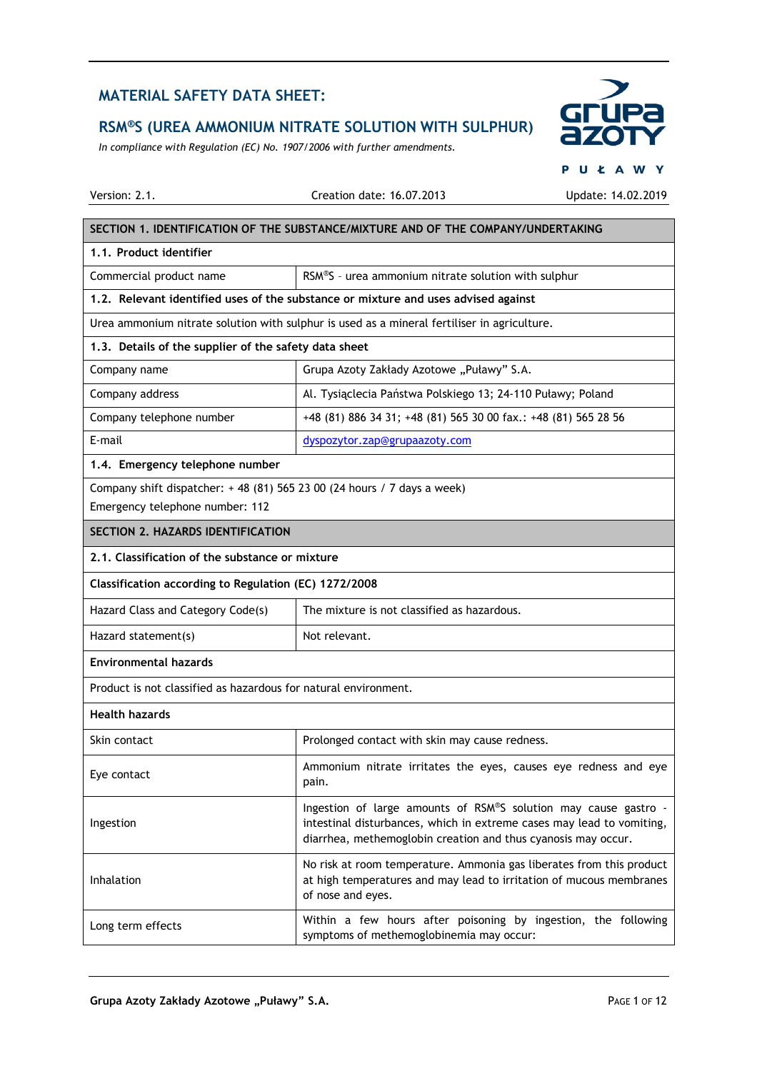# **RSM®S (UREA AMMONIUM NITRATE SOLUTION WITH SULPHUR)**

*In compliance with Regulation (EC) No. 1907/2006 with further amendments.*



 $5.05$ 

|                                                                         |                                                                                                                                                                                                           | $U$ $\sim$ $A$ $VV$ |  |
|-------------------------------------------------------------------------|-----------------------------------------------------------------------------------------------------------------------------------------------------------------------------------------------------------|---------------------|--|
| Version: 2.1.                                                           | Creation date: 16.07.2013                                                                                                                                                                                 | Update: 14.02.2019  |  |
|                                                                         | SECTION 1. IDENTIFICATION OF THE SUBSTANCE/MIXTURE AND OF THE COMPANY/UNDERTAKING                                                                                                                         |                     |  |
| 1.1. Product identifier                                                 |                                                                                                                                                                                                           |                     |  |
| Commercial product name                                                 | RSM®S - urea ammonium nitrate solution with sulphur                                                                                                                                                       |                     |  |
|                                                                         | 1.2. Relevant identified uses of the substance or mixture and uses advised against                                                                                                                        |                     |  |
|                                                                         | Urea ammonium nitrate solution with sulphur is used as a mineral fertiliser in agriculture.                                                                                                               |                     |  |
| 1.3. Details of the supplier of the safety data sheet                   |                                                                                                                                                                                                           |                     |  |
| Company name                                                            | Grupa Azoty Zakłady Azotowe "Puławy" S.A.                                                                                                                                                                 |                     |  |
| Company address                                                         | Al. Tysiąclecia Państwa Polskiego 13; 24-110 Puławy; Poland                                                                                                                                               |                     |  |
| Company telephone number                                                | +48 (81) 886 34 31; +48 (81) 565 30 00 fax.: +48 (81) 565 28 56                                                                                                                                           |                     |  |
| E-mail                                                                  | dyspozytor.zap@grupaazoty.com                                                                                                                                                                             |                     |  |
| 1.4. Emergency telephone number                                         |                                                                                                                                                                                                           |                     |  |
| Company shift dispatcher: +48 (81) 565 23 00 (24 hours / 7 days a week) |                                                                                                                                                                                                           |                     |  |
| Emergency telephone number: 112                                         |                                                                                                                                                                                                           |                     |  |
| <b>SECTION 2. HAZARDS IDENTIFICATION</b>                                |                                                                                                                                                                                                           |                     |  |
| 2.1. Classification of the substance or mixture                         |                                                                                                                                                                                                           |                     |  |
| Classification according to Regulation (EC) 1272/2008                   |                                                                                                                                                                                                           |                     |  |
| Hazard Class and Category Code(s)                                       | The mixture is not classified as hazardous.                                                                                                                                                               |                     |  |
| Hazard statement(s)                                                     | Not relevant.                                                                                                                                                                                             |                     |  |
| <b>Environmental hazards</b>                                            |                                                                                                                                                                                                           |                     |  |
| Product is not classified as hazardous for natural environment.         |                                                                                                                                                                                                           |                     |  |
| <b>Health hazards</b>                                                   |                                                                                                                                                                                                           |                     |  |
| Skin contact                                                            | Prolonged contact with skin may cause redness.                                                                                                                                                            |                     |  |
| Eye contact                                                             | Ammonium nitrate irritates the eyes, causes eye redness and eye<br>pain.                                                                                                                                  |                     |  |
| Ingestion                                                               | Ingestion of large amounts of RSM®S solution may cause gastro -<br>intestinal disturbances, which in extreme cases may lead to vomiting,<br>diarrhea, methemoglobin creation and thus cyanosis may occur. |                     |  |
| Inhalation                                                              | No risk at room temperature. Ammonia gas liberates from this product<br>at high temperatures and may lead to irritation of mucous membranes<br>of nose and eyes.                                          |                     |  |
| Long term effects                                                       | Within a few hours after poisoning by ingestion, the following<br>symptoms of methemoglobinemia may occur:                                                                                                |                     |  |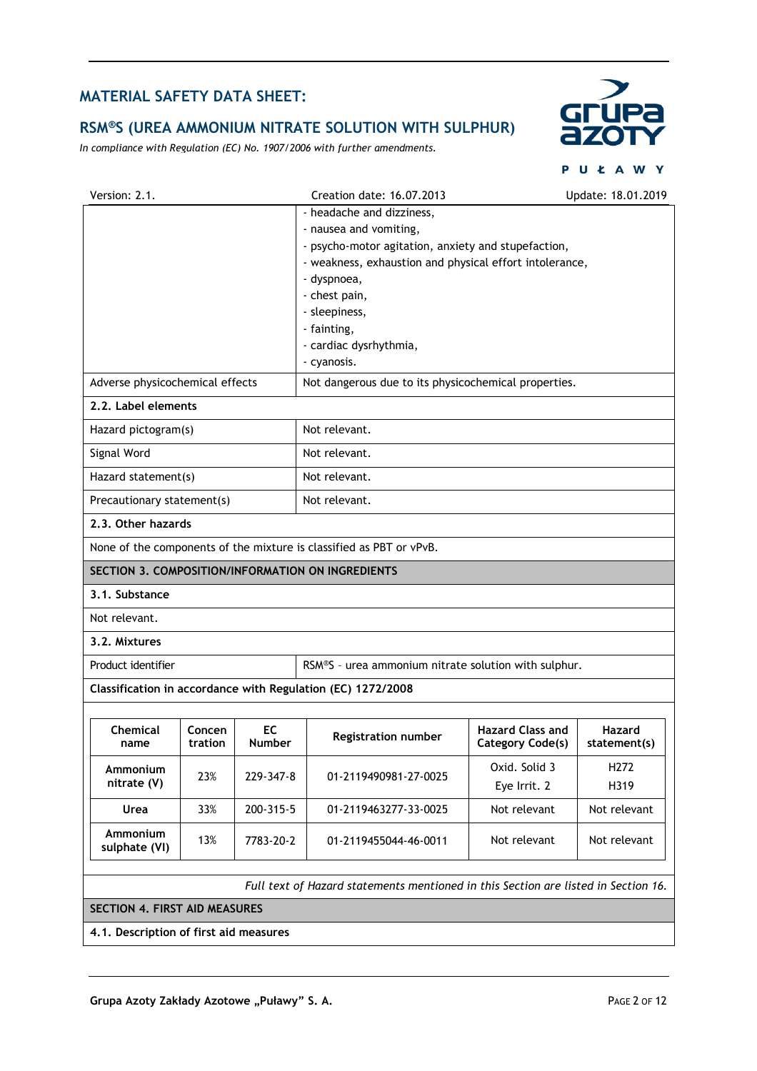# **RSM®S (UREA AMMONIUM NITRATE SOLUTION WITH SULPHUR)**

*In compliance with Regulation (EC) No. 1907/2006 with further amendments.*



|                                                                                         |                                                                                    | P                                                  | UŁAWY                  |  |
|-----------------------------------------------------------------------------------------|------------------------------------------------------------------------------------|----------------------------------------------------|------------------------|--|
| Version: 2.1.                                                                           | Creation date: 16.07.2013                                                          |                                                    | Update: 18.01.2019     |  |
|                                                                                         | - headache and dizziness,                                                          |                                                    |                        |  |
|                                                                                         | - nausea and vomiting,                                                             |                                                    |                        |  |
|                                                                                         | - psycho-motor agitation, anxiety and stupefaction,                                |                                                    |                        |  |
|                                                                                         | - weakness, exhaustion and physical effort intolerance,                            |                                                    |                        |  |
|                                                                                         | - dyspnoea,                                                                        |                                                    |                        |  |
|                                                                                         | - chest pain,                                                                      |                                                    |                        |  |
|                                                                                         | - sleepiness,                                                                      |                                                    |                        |  |
|                                                                                         |                                                                                    | - fainting,                                        |                        |  |
|                                                                                         | - cardiac dysrhythmia,                                                             |                                                    |                        |  |
| - cyanosis.                                                                             |                                                                                    |                                                    |                        |  |
| Adverse physicochemical effects<br>Not dangerous due to its physicochemical properties. |                                                                                    |                                                    |                        |  |
| 2.2. Label elements                                                                     |                                                                                    |                                                    |                        |  |
| Hazard pictogram(s)                                                                     | Not relevant.                                                                      |                                                    |                        |  |
| Signal Word                                                                             | Not relevant.                                                                      |                                                    |                        |  |
| Hazard statement(s)                                                                     | Not relevant.                                                                      |                                                    |                        |  |
| Precautionary statement(s)                                                              | Not relevant.                                                                      |                                                    |                        |  |
| 2.3. Other hazards                                                                      |                                                                                    |                                                    |                        |  |
| None of the components of the mixture is classified as PBT or vPvB.                     |                                                                                    |                                                    |                        |  |
| SECTION 3. COMPOSITION/INFORMATION ON INGREDIENTS                                       |                                                                                    |                                                    |                        |  |
| 3.1. Substance                                                                          |                                                                                    |                                                    |                        |  |
| Not relevant.                                                                           |                                                                                    |                                                    |                        |  |
| 3.2. Mixtures                                                                           |                                                                                    |                                                    |                        |  |
| Product identifier                                                                      | RSM®S - urea ammonium nitrate solution with sulphur.                               |                                                    |                        |  |
| Classification in accordance with Regulation (EC) 1272/2008                             |                                                                                    |                                                    |                        |  |
|                                                                                         |                                                                                    |                                                    |                        |  |
| Chemical<br>Concen<br>tration<br>name                                                   | EC<br>Registration number<br>Number                                                | <b>Hazard Class and</b><br><b>Category Code(s)</b> | Hazard<br>statement(s) |  |
| Ammonium<br>23%                                                                         | 229-347-8<br>01-2119490981-27-0025                                                 | Oxid. Solid 3                                      | H272                   |  |
| nitrate (V)                                                                             |                                                                                    | Eye Irrit. 2                                       | H319                   |  |
| 33%<br>Urea                                                                             | 200-315-5<br>01-2119463277-33-0025                                                 | Not relevant                                       | Not relevant           |  |
| Ammonium<br>13%<br>sulphate (VI)                                                        | 7783-20-2<br>01-2119455044-46-0011                                                 | Not relevant                                       | Not relevant           |  |
|                                                                                         | Full text of Hazard statements mentioned in this Section are listed in Section 16. |                                                    |                        |  |
| <b>SECTION 4. FIRST AID MEASURES</b>                                                    |                                                                                    |                                                    |                        |  |
|                                                                                         |                                                                                    |                                                    |                        |  |

**4.1. Description of first aid measures**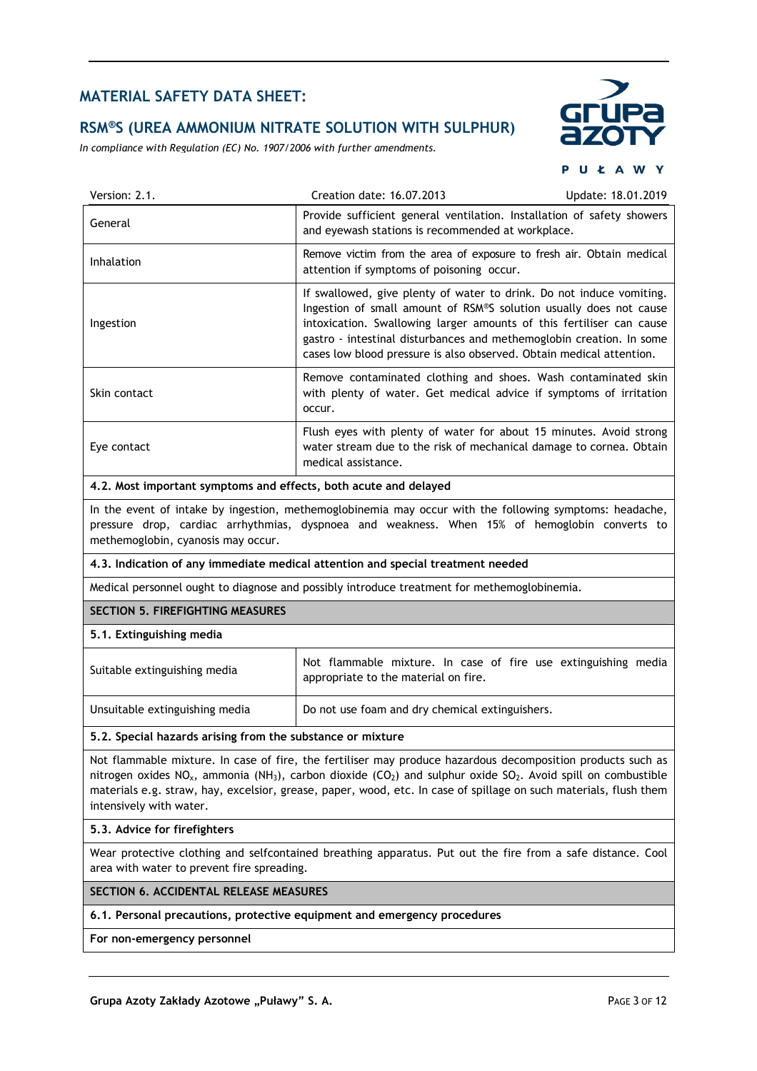#### **RSM®S (UREA AMMONIUM NITRATE SOLUTION WITH SULPHUR)**

*In compliance with Regulation (EC) No. 1907/2006 with further amendments.*



**PUŁAWY** 

| Version: 2.1.                                                    | Creation date: 16.07.2013                                                                                                                                                                                                                                                                                                                                          | Update: 18.01.2019 |
|------------------------------------------------------------------|--------------------------------------------------------------------------------------------------------------------------------------------------------------------------------------------------------------------------------------------------------------------------------------------------------------------------------------------------------------------|--------------------|
| General                                                          | Provide sufficient general ventilation. Installation of safety showers<br>and eyewash stations is recommended at workplace.                                                                                                                                                                                                                                        |                    |
| <b>Inhalation</b>                                                | Remove victim from the area of exposure to fresh air. Obtain medical<br>attention if symptoms of poisoning occur.                                                                                                                                                                                                                                                  |                    |
| Ingestion                                                        | If swallowed, give plenty of water to drink. Do not induce vomiting.<br>Ingestion of small amount of RSM®S solution usually does not cause<br>intoxication. Swallowing larger amounts of this fertiliser can cause<br>gastro - intestinal disturbances and methemoglobin creation. In some<br>cases low blood pressure is also observed. Obtain medical attention. |                    |
| Skin contact                                                     | Remove contaminated clothing and shoes. Wash contaminated skin<br>with plenty of water. Get medical advice if symptoms of irritation<br>occur.                                                                                                                                                                                                                     |                    |
| Eye contact                                                      | Flush eyes with plenty of water for about 15 minutes. Avoid strong<br>water stream due to the risk of mechanical damage to cornea. Obtain<br>medical assistance.                                                                                                                                                                                                   |                    |
| 4.2. Most important symptoms and effects, both acute and delayed |                                                                                                                                                                                                                                                                                                                                                                    |                    |
|                                                                  | In the event of intake by ingestion, methemoglobinemia may occur with the following symptoms: headache,                                                                                                                                                                                                                                                            |                    |

gestion, methemoglobinemia may occur with the following pressure drop, cardiac arrhythmias, dyspnoea and weakness. When 15% of hemoglobin converts to methemoglobin, cyanosis may occur.

#### **4.3. Indication of any immediate medical attention and special treatment needed**

Medical personnel ought to diagnose and possibly introduce treatment for methemoglobinemia.

#### **SECTION 5. FIREFIGHTING MEASURES**

#### **5.1. Extinguishing media**

| Suitable extinguishing media   | Not flammable mixture. In case of fire use extinguishing media<br>appropriate to the material on fire. |
|--------------------------------|--------------------------------------------------------------------------------------------------------|
| Unsuitable extinguishing media | Do not use foam and dry chemical extinguishers.                                                        |

#### **5.2. Special hazards arising from the substance or mixture**

Not flammable mixture. In case of fire, the fertiliser may produce hazardous decomposition products such as nitrogen oxides  $NO_x$ , ammonia (NH<sub>3</sub>), carbon dioxide (CO<sub>2</sub>) and sulphur oxide SO<sub>2</sub>. Avoid spill on combustible materials e.g. straw, hay, excelsior, grease, paper, wood, etc. In case of spillage on such materials, flush them intensively with water.

#### **5.3. Advice for firefighters**

Wear protective clothing and selfcontained breathing apparatus. Put out the fire from a safe distance. Cool area with water to prevent fire spreading.

#### **SECTION 6. ACCIDENTAL RELEASE MEASURES**

#### **6.1. Personal precautions, protective equipment and emergency procedures**

**For non-emergency personnel**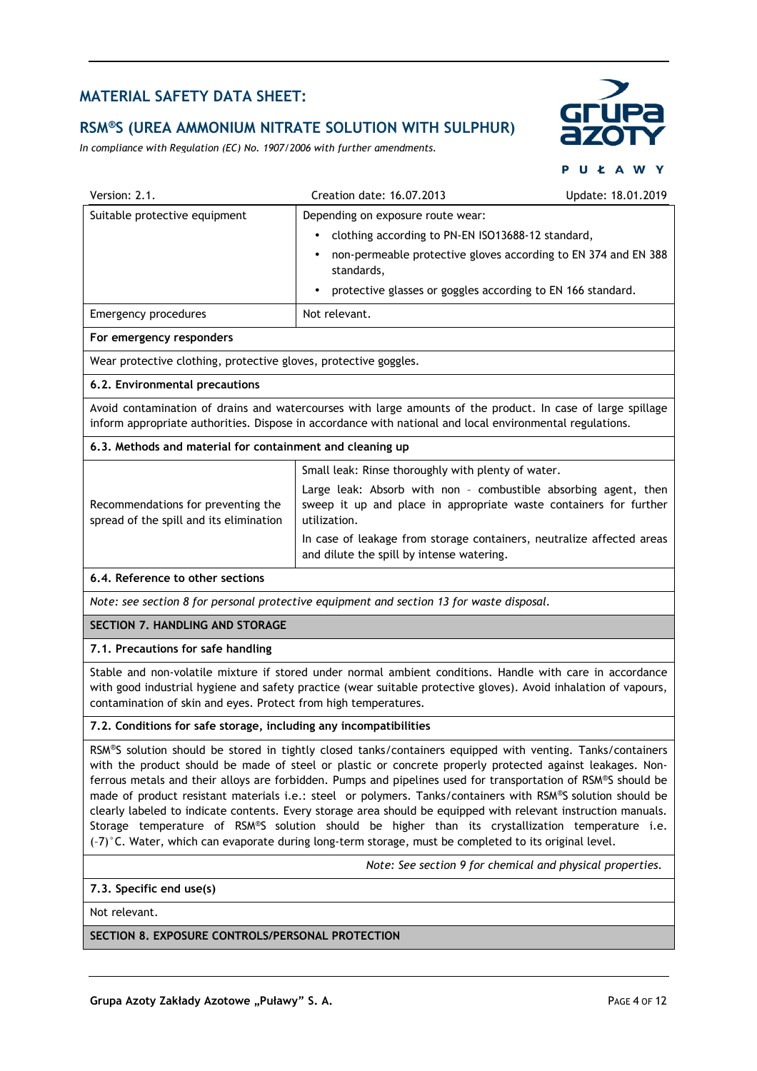#### **RSM®S (UREA AMMONIUM NITRATE SOLUTION WITH SULPHUR)**

*In compliance with Regulation (EC) No. 1907/2006 with further amendments.*



|                                                                                                                                                                                                                                                                                                  | UŁAWY                                                                                                                                                                                                                                                                                                                                                                                                                                                                                                                                                 |  |  |  |
|--------------------------------------------------------------------------------------------------------------------------------------------------------------------------------------------------------------------------------------------------------------------------------------------------|-------------------------------------------------------------------------------------------------------------------------------------------------------------------------------------------------------------------------------------------------------------------------------------------------------------------------------------------------------------------------------------------------------------------------------------------------------------------------------------------------------------------------------------------------------|--|--|--|
| Creation date: 16.07.2013                                                                                                                                                                                                                                                                        | Update: 18.01.2019                                                                                                                                                                                                                                                                                                                                                                                                                                                                                                                                    |  |  |  |
| Depending on exposure route wear:                                                                                                                                                                                                                                                                |                                                                                                                                                                                                                                                                                                                                                                                                                                                                                                                                                       |  |  |  |
| $\bullet$                                                                                                                                                                                                                                                                                        |                                                                                                                                                                                                                                                                                                                                                                                                                                                                                                                                                       |  |  |  |
| standards,                                                                                                                                                                                                                                                                                       |                                                                                                                                                                                                                                                                                                                                                                                                                                                                                                                                                       |  |  |  |
| $\bullet$                                                                                                                                                                                                                                                                                        |                                                                                                                                                                                                                                                                                                                                                                                                                                                                                                                                                       |  |  |  |
| Not relevant.                                                                                                                                                                                                                                                                                    |                                                                                                                                                                                                                                                                                                                                                                                                                                                                                                                                                       |  |  |  |
|                                                                                                                                                                                                                                                                                                  |                                                                                                                                                                                                                                                                                                                                                                                                                                                                                                                                                       |  |  |  |
| Wear protective clothing, protective gloves, protective goggles.                                                                                                                                                                                                                                 |                                                                                                                                                                                                                                                                                                                                                                                                                                                                                                                                                       |  |  |  |
|                                                                                                                                                                                                                                                                                                  |                                                                                                                                                                                                                                                                                                                                                                                                                                                                                                                                                       |  |  |  |
| Avoid contamination of drains and watercourses with large amounts of the product. In case of large spillage<br>inform appropriate authorities. Dispose in accordance with national and local environmental regulations.                                                                          |                                                                                                                                                                                                                                                                                                                                                                                                                                                                                                                                                       |  |  |  |
| 6.3. Methods and material for containment and cleaning up                                                                                                                                                                                                                                        |                                                                                                                                                                                                                                                                                                                                                                                                                                                                                                                                                       |  |  |  |
|                                                                                                                                                                                                                                                                                                  |                                                                                                                                                                                                                                                                                                                                                                                                                                                                                                                                                       |  |  |  |
| utilization.                                                                                                                                                                                                                                                                                     |                                                                                                                                                                                                                                                                                                                                                                                                                                                                                                                                                       |  |  |  |
| and dilute the spill by intense watering.                                                                                                                                                                                                                                                        |                                                                                                                                                                                                                                                                                                                                                                                                                                                                                                                                                       |  |  |  |
|                                                                                                                                                                                                                                                                                                  |                                                                                                                                                                                                                                                                                                                                                                                                                                                                                                                                                       |  |  |  |
|                                                                                                                                                                                                                                                                                                  |                                                                                                                                                                                                                                                                                                                                                                                                                                                                                                                                                       |  |  |  |
|                                                                                                                                                                                                                                                                                                  |                                                                                                                                                                                                                                                                                                                                                                                                                                                                                                                                                       |  |  |  |
|                                                                                                                                                                                                                                                                                                  |                                                                                                                                                                                                                                                                                                                                                                                                                                                                                                                                                       |  |  |  |
| Stable and non-volatile mixture if stored under normal ambient conditions. Handle with care in accordance<br>with good industrial hygiene and safety practice (wear suitable protective gloves). Avoid inhalation of vapours,<br>contamination of skin and eyes. Protect from high temperatures. |                                                                                                                                                                                                                                                                                                                                                                                                                                                                                                                                                       |  |  |  |
|                                                                                                                                                                                                                                                                                                  | clothing according to PN-EN ISO13688-12 standard,<br>non-permeable protective gloves according to EN 374 and EN 388<br>protective glasses or goggles according to EN 166 standard.<br>Small leak: Rinse thoroughly with plenty of water.<br>Large leak: Absorb with non - combustible absorbing agent, then<br>sweep it up and place in appropriate waste containers for further<br>In case of leakage from storage containers, neutralize affected areas<br>Note: see section 8 for personal protective equipment and section 13 for waste disposal. |  |  |  |

#### **7.2. Conditions for safe storage, including any incompatibilities**

RSM®S solution should be stored in tightly closed tanks/containers equipped with venting. Tanks/containers with the product should be made of steel or plastic or concrete properly protected against leakages. Nonferrous metals and their alloys are forbidden. Pumps and pipelines used for transportation of RSM®S should be made of product resistant materials i.e.: steel or polymers. Tanks/containers with RSM®S solution should be clearly labeled to indicate contents. Every storage area should be equipped with relevant instruction manuals. Storage temperature of RSM®S solution should be higher than its crystallization temperature i.e. (–7)°C. Water, which can evaporate during long-term storage, must be completed to its original level.

 *Note: See section 9 for chemical and physical properties.* 

#### **7.3. Specific end use(s)**

Not relevant.

#### **SECTION 8. EXPOSURE CONTROLS/PERSONAL PROTECTION**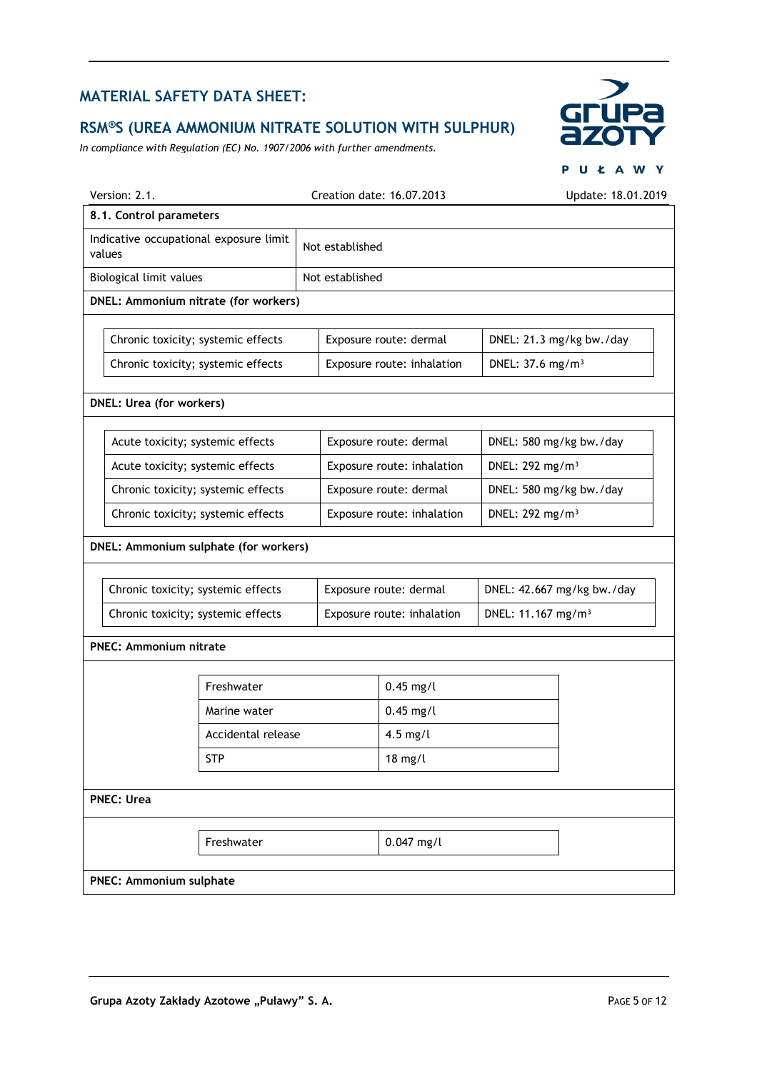# **RSM®S (UREA AMMONIUM NITRATE SOLUTION WITH SULPHUR)**

*In compliance with Regulation (EC) No. 1907/2006 with further amendments.*



|                                                  |                        |                            | PUŁAWY                         |  |
|--------------------------------------------------|------------------------|----------------------------|--------------------------------|--|
| Version: 2.1.                                    |                        | Creation date: 16.07.2013  | Update: 18.01.2019             |  |
| 8.1. Control parameters                          |                        |                            |                                |  |
| Indicative occupational exposure limit<br>values | Not established        |                            |                                |  |
| Biological limit values                          | Not established        |                            |                                |  |
| DNEL: Ammonium nitrate (for workers)             |                        |                            |                                |  |
|                                                  |                        |                            |                                |  |
| Chronic toxicity; systemic effects               |                        | Exposure route: dermal     | DNEL: 21.3 mg/kg bw./day       |  |
| Chronic toxicity; systemic effects               |                        | Exposure route: inhalation | DNEL: 37.6 mg/m <sup>3</sup>   |  |
| <b>DNEL: Urea (for workers)</b>                  |                        |                            |                                |  |
|                                                  |                        |                            |                                |  |
| Acute toxicity; systemic effects                 |                        | Exposure route: dermal     | DNEL: 580 mg/kg bw./day        |  |
| Acute toxicity; systemic effects                 |                        | Exposure route: inhalation | DNEL: 292 mg/m <sup>3</sup>    |  |
| Chronic toxicity; systemic effects               | Exposure route: dermal |                            | DNEL: 580 mg/kg bw./day        |  |
| Chronic toxicity; systemic effects               |                        | Exposure route: inhalation | DNEL: 292 mg/m <sup>3</sup>    |  |
| DNEL: Ammonium sulphate (for workers)            |                        |                            |                                |  |
| Chronic toxicity; systemic effects               |                        | Exposure route: dermal     | DNEL: 42.667 mg/kg bw./day     |  |
| Chronic toxicity; systemic effects               |                        | Exposure route: inhalation | DNEL: 11.167 mg/m <sup>3</sup> |  |
|                                                  |                        |                            |                                |  |
| <b>PNEC: Ammonium nitrate</b>                    |                        |                            |                                |  |
| Freshwater                                       |                        | $0.45$ mg/l                |                                |  |
| Marine water                                     |                        | $0.45$ mg/l                |                                |  |
| Accidental release                               |                        | $4.5$ mg/l                 |                                |  |
| <b>STP</b>                                       |                        | $18$ mg/l                  |                                |  |
|                                                  |                        |                            |                                |  |
| <b>PNEC: Urea</b>                                |                        |                            |                                |  |
| Freshwater                                       |                        | $0.047$ mg/l               |                                |  |
| <b>PNEC: Ammonium sulphate</b>                   |                        |                            |                                |  |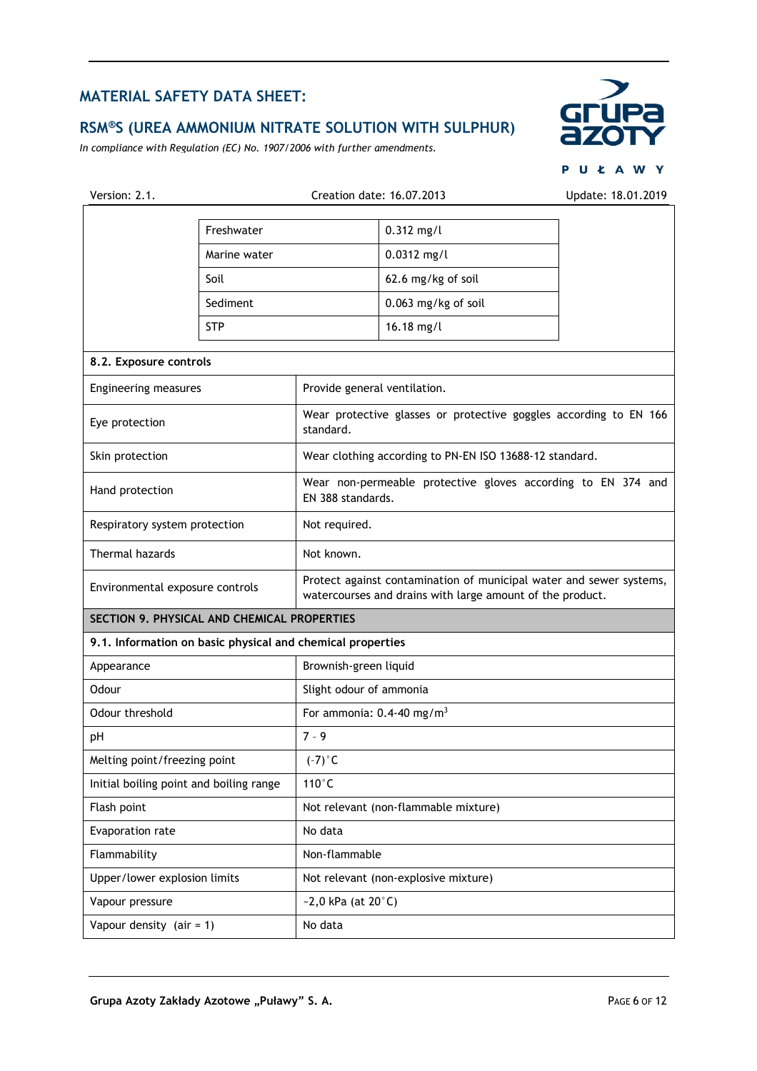# **RSM®S (UREA AMMONIUM NITRATE SOLUTION WITH SULPHUR)**

*In compliance with Regulation (EC) No. 1907/2006 with further amendments.*



PUŁAWY

| Version: 2.1.                                              |              | Creation date: 16.07.2013               |                                                                                                                                  | Update: 18.01.2019 |  |
|------------------------------------------------------------|--------------|-----------------------------------------|----------------------------------------------------------------------------------------------------------------------------------|--------------------|--|
|                                                            | Freshwater   |                                         | $0.312$ mg/l                                                                                                                     |                    |  |
|                                                            | Marine water |                                         | $0.0312$ mg/l                                                                                                                    |                    |  |
|                                                            | Soil         |                                         | 62.6 mg/kg of soil                                                                                                               |                    |  |
|                                                            | Sediment     |                                         | 0.063 mg/kg of soil                                                                                                              |                    |  |
|                                                            | <b>STP</b>   |                                         | 16.18 mg/l                                                                                                                       |                    |  |
| 8.2. Exposure controls                                     |              |                                         |                                                                                                                                  |                    |  |
| Engineering measures                                       |              | Provide general ventilation.            |                                                                                                                                  |                    |  |
|                                                            |              |                                         |                                                                                                                                  |                    |  |
| Eye protection                                             |              | standard.                               | Wear protective glasses or protective goggles according to EN 166                                                                |                    |  |
| Skin protection                                            |              |                                         | Wear clothing according to PN-EN ISO 13688-12 standard.                                                                          |                    |  |
| Hand protection                                            |              |                                         | Wear non-permeable protective gloves according to EN 374 and<br>EN 388 standards.                                                |                    |  |
| Respiratory system protection                              |              | Not required.                           |                                                                                                                                  |                    |  |
| Thermal hazards<br>Not known.                              |              |                                         |                                                                                                                                  |                    |  |
| Environmental exposure controls                            |              |                                         | Protect against contamination of municipal water and sewer systems,<br>watercourses and drains with large amount of the product. |                    |  |
| SECTION 9. PHYSICAL AND CHEMICAL PROPERTIES                |              |                                         |                                                                                                                                  |                    |  |
| 9.1. Information on basic physical and chemical properties |              |                                         |                                                                                                                                  |                    |  |
| Appearance                                                 |              | Brownish-green liquid                   |                                                                                                                                  |                    |  |
| Odour                                                      |              | Slight odour of ammonia                 |                                                                                                                                  |                    |  |
| Odour threshold                                            |              | For ammonia: $0.4-40$ mg/m <sup>3</sup> |                                                                                                                                  |                    |  |
| pH                                                         |              | $7 - 9$                                 |                                                                                                                                  |                    |  |
| Melting point/freezing point                               |              | $(-7)$ °C                               |                                                                                                                                  |                    |  |
| Initial boiling point and boiling range                    |              | $110^{\circ}$ C                         |                                                                                                                                  |                    |  |
| Flash point                                                |              |                                         | Not relevant (non-flammable mixture)                                                                                             |                    |  |
| Evaporation rate                                           |              | No data                                 |                                                                                                                                  |                    |  |
| Flammability                                               |              | Non-flammable                           |                                                                                                                                  |                    |  |
| Upper/lower explosion limits                               |              |                                         | Not relevant (non-explosive mixture)                                                                                             |                    |  |
| Vapour pressure                                            |              | $-2,0$ kPa (at 20 $^{\circ}$ C)         |                                                                                                                                  |                    |  |
| Vapour density $(air = 1)$                                 |              | No data                                 |                                                                                                                                  |                    |  |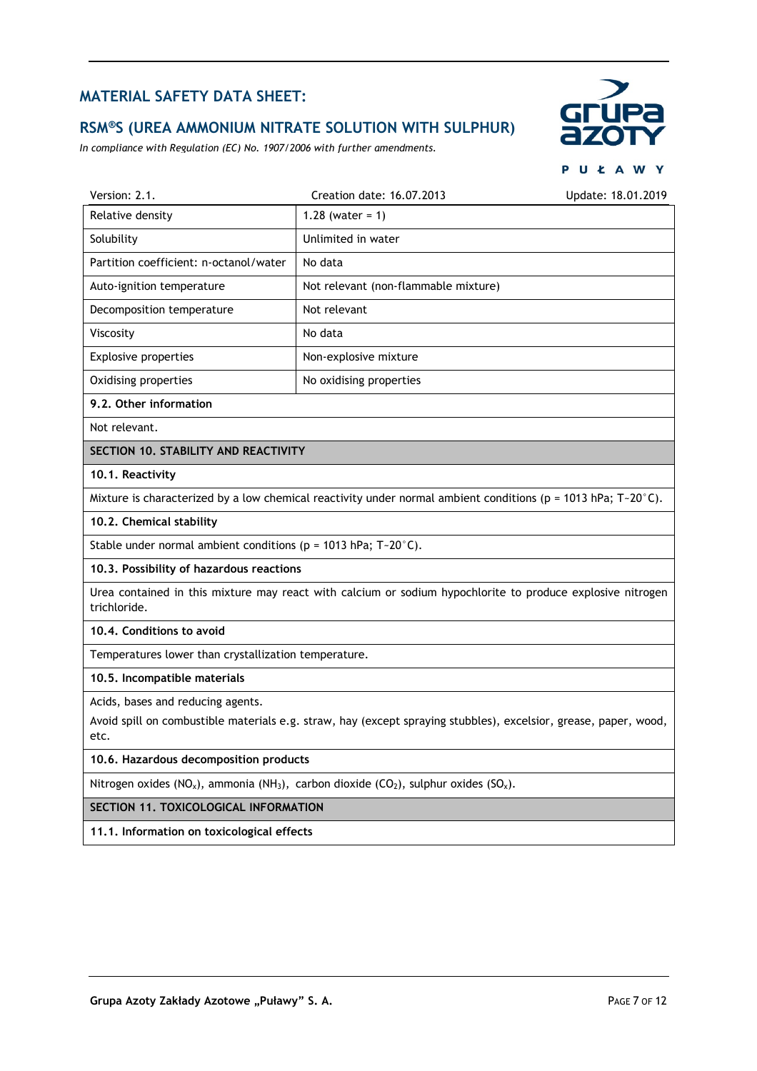## **RSM®S (UREA AMMONIUM NITRATE SOLUTION WITH SULPHUR)**

*In compliance with Regulation (EC) No. 1907/2006 with further amendments.*



|                                                                                                                            |                                                                                                                  | $U \subseteq A$ W  |
|----------------------------------------------------------------------------------------------------------------------------|------------------------------------------------------------------------------------------------------------------|--------------------|
| Version: 2.1.                                                                                                              | Creation date: 16.07.2013                                                                                        | Update: 18.01.2019 |
| Relative density                                                                                                           | 1.28 (water = $1)$                                                                                               |                    |
| Solubility                                                                                                                 | Unlimited in water                                                                                               |                    |
| Partition coefficient: n-octanol/water                                                                                     | No data                                                                                                          |                    |
| Auto-ignition temperature                                                                                                  | Not relevant (non-flammable mixture)                                                                             |                    |
| Decomposition temperature                                                                                                  | Not relevant                                                                                                     |                    |
| Viscosity                                                                                                                  | No data                                                                                                          |                    |
| Explosive properties                                                                                                       | Non-explosive mixture                                                                                            |                    |
| Oxidising properties                                                                                                       | No oxidising properties                                                                                          |                    |
| 9.2. Other information                                                                                                     |                                                                                                                  |                    |
| Not relevant.                                                                                                              |                                                                                                                  |                    |
| SECTION 10. STABILITY AND REACTIVITY                                                                                       |                                                                                                                  |                    |
| 10.1. Reactivity                                                                                                           |                                                                                                                  |                    |
|                                                                                                                            | Mixture is characterized by a low chemical reactivity under normal ambient conditions ( $p = 1013$ hPa; T-20°C). |                    |
| 10.2. Chemical stability                                                                                                   |                                                                                                                  |                    |
| Stable under normal ambient conditions ( $p = 1013$ hPa; T-20°C).                                                          |                                                                                                                  |                    |
| 10.3. Possibility of hazardous reactions                                                                                   |                                                                                                                  |                    |
| Urea contained in this mixture may react with calcium or sodium hypochlorite to produce explosive nitrogen<br>trichloride. |                                                                                                                  |                    |
| 10.4. Conditions to avoid                                                                                                  |                                                                                                                  |                    |
| Temperatures lower than crystallization temperature.                                                                       |                                                                                                                  |                    |
| 10.5. Incompatible materials                                                                                               |                                                                                                                  |                    |
| Acids, bases and reducing agents.                                                                                          |                                                                                                                  |                    |

Avoid spill on combustible materials e.g. straw, hay (except spraying stubbles), excelsior, grease, paper, wood, etc.

#### **10.6. Hazardous decomposition products**

Nitrogen oxides (NO<sub>x</sub>), ammonia (NH<sub>3</sub>), carbon dioxide (CO<sub>2</sub>), sulphur oxides (SO<sub>x</sub>).

**SECTION 11. TOXICOLOGICAL INFORMATION** 

**11.1. Information on toxicological effects**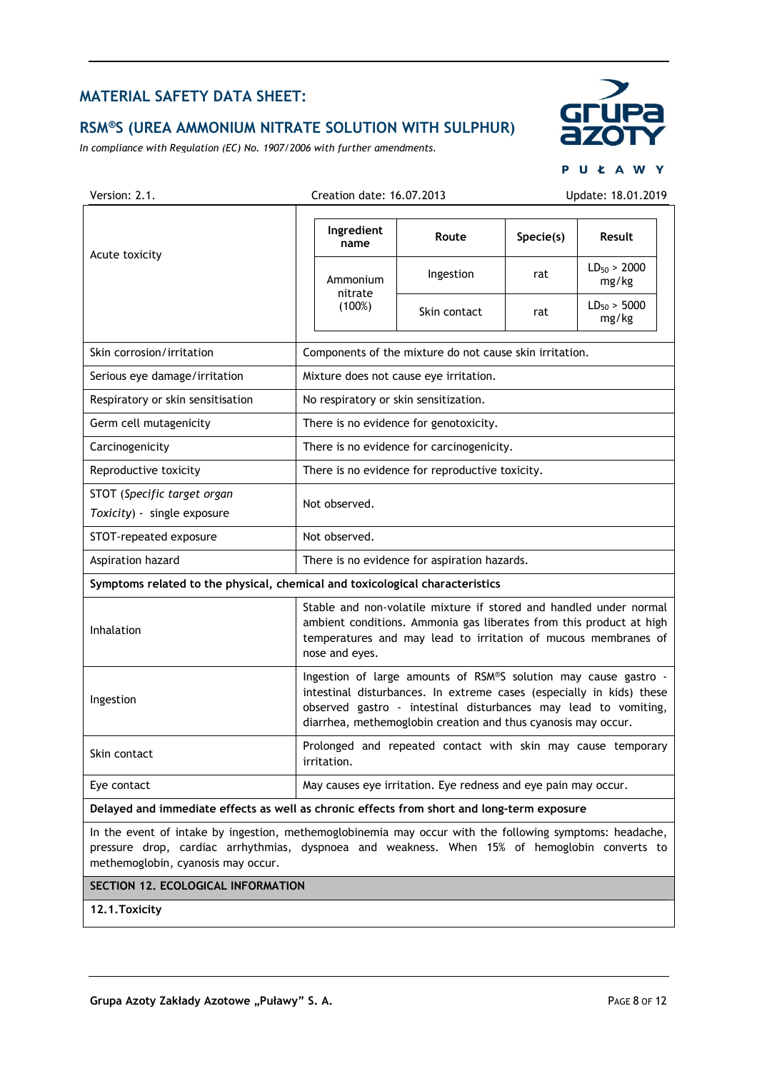## **RSM®S (UREA AMMONIUM NITRATE SOLUTION WITH SULPHUR)**

*In compliance with Regulation (EC) No. 1907/2006 with further amendments.*



PUŁAWY

| Version: 2.1.                                                                              |                                                                                                                                                                                                                                                                             | Creation date: 16.07.2013                               |                                                                |           | Update: 18.01.2019        |
|--------------------------------------------------------------------------------------------|-----------------------------------------------------------------------------------------------------------------------------------------------------------------------------------------------------------------------------------------------------------------------------|---------------------------------------------------------|----------------------------------------------------------------|-----------|---------------------------|
|                                                                                            | Ingredient<br>name                                                                                                                                                                                                                                                          |                                                         | Route                                                          | Specie(s) | Result                    |
| Acute toxicity                                                                             |                                                                                                                                                                                                                                                                             | Ammonium                                                | Ingestion                                                      | rat       | $LD_{50} > 2000$<br>mg/kg |
|                                                                                            |                                                                                                                                                                                                                                                                             | nitrate<br>(100%)                                       | Skin contact                                                   | rat       | $LD_{50} > 5000$<br>mg/kg |
| Skin corrosion/irritation                                                                  |                                                                                                                                                                                                                                                                             | Components of the mixture do not cause skin irritation. |                                                                |           |                           |
| Serious eye damage/irritation                                                              |                                                                                                                                                                                                                                                                             | Mixture does not cause eye irritation.                  |                                                                |           |                           |
| Respiratory or skin sensitisation                                                          |                                                                                                                                                                                                                                                                             |                                                         | No respiratory or skin sensitization.                          |           |                           |
| Germ cell mutagenicity                                                                     |                                                                                                                                                                                                                                                                             |                                                         | There is no evidence for genotoxicity.                         |           |                           |
| Carcinogenicity                                                                            |                                                                                                                                                                                                                                                                             |                                                         | There is no evidence for carcinogenicity.                      |           |                           |
| Reproductive toxicity                                                                      |                                                                                                                                                                                                                                                                             |                                                         | There is no evidence for reproductive toxicity.                |           |                           |
| STOT (Specific target organ<br>Toxicity) - single exposure                                 |                                                                                                                                                                                                                                                                             | Not observed.                                           |                                                                |           |                           |
| STOT-repeated exposure                                                                     |                                                                                                                                                                                                                                                                             | Not observed.                                           |                                                                |           |                           |
| Aspiration hazard                                                                          | There is no evidence for aspiration hazards.                                                                                                                                                                                                                                |                                                         |                                                                |           |                           |
| Symptoms related to the physical, chemical and toxicological characteristics               |                                                                                                                                                                                                                                                                             |                                                         |                                                                |           |                           |
| Inhalation                                                                                 | Stable and non-volatile mixture if stored and handled under normal<br>ambient conditions. Ammonia gas liberates from this product at high<br>temperatures and may lead to irritation of mucous membranes of<br>nose and eyes.                                               |                                                         |                                                                |           |                           |
| Ingestion                                                                                  | Ingestion of large amounts of RSM®S solution may cause gastro -<br>intestinal disturbances. In extreme cases (especially in kids) these<br>observed gastro - intestinal disturbances may lead to vomiting,<br>diarrhea, methemoglobin creation and thus cyanosis may occur. |                                                         |                                                                |           |                           |
| Skin contact                                                                               |                                                                                                                                                                                                                                                                             | irritation.                                             | Prolonged and repeated contact with skin may cause temporary   |           |                           |
| Eye contact                                                                                |                                                                                                                                                                                                                                                                             |                                                         | May causes eye irritation. Eye redness and eye pain may occur. |           |                           |
| Delayed and immediate effects as well as chronic effects from short and long-term exposure |                                                                                                                                                                                                                                                                             |                                                         |                                                                |           |                           |
|                                                                                            |                                                                                                                                                                                                                                                                             |                                                         |                                                                |           |                           |

In the event of intake by ingestion, methemoglobinemia may occur with the following symptoms: headache, pressure drop, cardiac arrhythmias, dyspnoea and weakness. When 15% of hemoglobin converts to methemoglobin, cyanosis may occur.

#### **SECTION 12. ECOLOGICAL INFORMATION**

**12.1.Toxicity**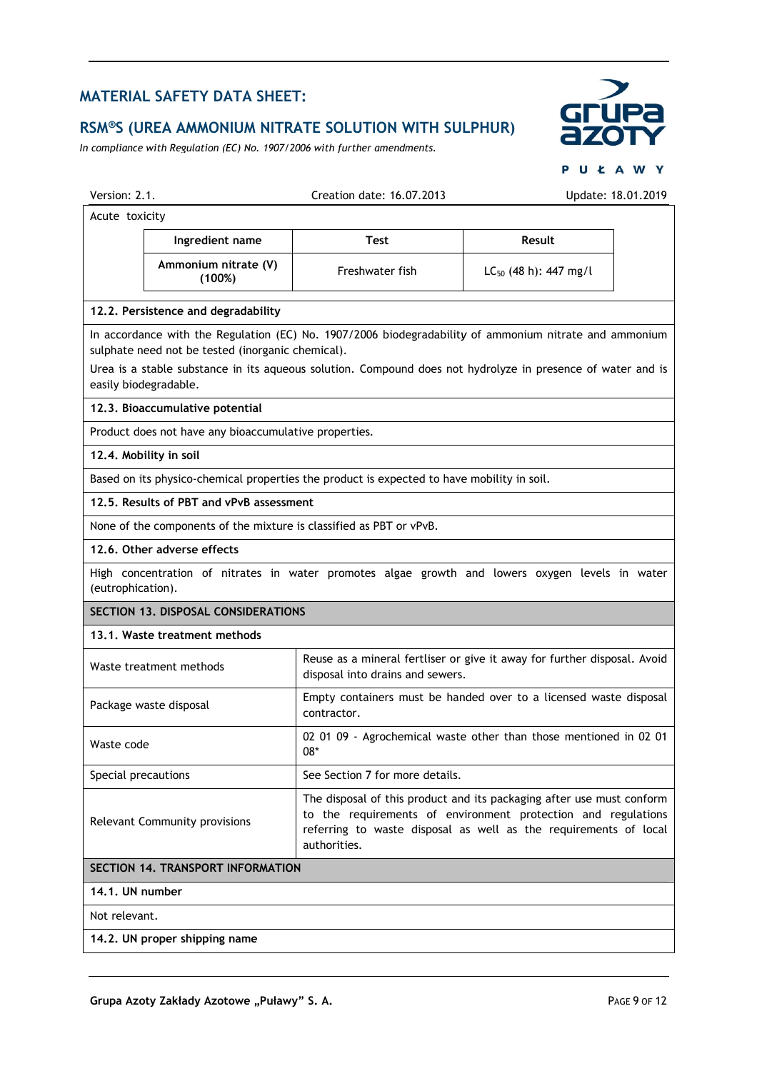# **RSM®S (UREA AMMONIUM NITRATE SOLUTION WITH SULPHUR)**

*In compliance with Regulation (EC) No. 1907/2006 with further amendments.*



PUŁAWY

| Version: 2.1.       |                                                                                                                      | Creation date: 16.07.2013                                                                  | Update: 18.01.2019                                                                                                                                                                                                    |
|---------------------|----------------------------------------------------------------------------------------------------------------------|--------------------------------------------------------------------------------------------|-----------------------------------------------------------------------------------------------------------------------------------------------------------------------------------------------------------------------|
| Acute toxicity      |                                                                                                                      |                                                                                            |                                                                                                                                                                                                                       |
|                     | Ingredient name                                                                                                      | <b>Test</b>                                                                                | Result                                                                                                                                                                                                                |
|                     | Ammonium nitrate (V)<br>(100%)                                                                                       | Freshwater fish                                                                            | $LC_{50}$ (48 h): 447 mg/l                                                                                                                                                                                            |
|                     | 12.2. Persistence and degradability                                                                                  |                                                                                            |                                                                                                                                                                                                                       |
|                     | sulphate need not be tested (inorganic chemical).                                                                    |                                                                                            | In accordance with the Regulation (EC) No. 1907/2006 biodegradability of ammonium nitrate and ammonium<br>Urea is a stable substance in its aqueous solution. Compound does not hydrolyze in presence of water and is |
|                     | easily biodegradable.                                                                                                |                                                                                            |                                                                                                                                                                                                                       |
|                     | 12.3. Bioaccumulative potential                                                                                      |                                                                                            |                                                                                                                                                                                                                       |
|                     | Product does not have any bioaccumulative properties.                                                                |                                                                                            |                                                                                                                                                                                                                       |
|                     | 12.4. Mobility in soil                                                                                               |                                                                                            |                                                                                                                                                                                                                       |
|                     |                                                                                                                      | Based on its physico-chemical properties the product is expected to have mobility in soil. |                                                                                                                                                                                                                       |
|                     | 12.5. Results of PBT and vPvB assessment                                                                             |                                                                                            |                                                                                                                                                                                                                       |
|                     | None of the components of the mixture is classified as PBT or vPvB.                                                  |                                                                                            |                                                                                                                                                                                                                       |
|                     | 12.6. Other adverse effects                                                                                          |                                                                                            |                                                                                                                                                                                                                       |
|                     | High concentration of nitrates in water promotes algae growth and lowers oxygen levels in water<br>(eutrophication). |                                                                                            |                                                                                                                                                                                                                       |
|                     | SECTION 13. DISPOSAL CONSIDERATIONS                                                                                  |                                                                                            |                                                                                                                                                                                                                       |
|                     | 13.1. Waste treatment methods                                                                                        |                                                                                            |                                                                                                                                                                                                                       |
|                     | Waste treatment methods                                                                                              | disposal into drains and sewers.                                                           | Reuse as a mineral fertliser or give it away for further disposal. Avoid                                                                                                                                              |
|                     | Package waste disposal                                                                                               | contractor.                                                                                | Empty containers must be handed over to a licensed waste disposal                                                                                                                                                     |
| Waste code          |                                                                                                                      | $08*$                                                                                      | 02 01 09 - Agrochemical waste other than those mentioned in 02 01                                                                                                                                                     |
| Special precautions |                                                                                                                      | See Section 7 for more details.                                                            |                                                                                                                                                                                                                       |
|                     | Relevant Community provisions                                                                                        | authorities.                                                                               | The disposal of this product and its packaging after use must conform<br>to the requirements of environment protection and regulations<br>referring to waste disposal as well as the requirements of local            |
|                     | <b>SECTION 14. TRANSPORT INFORMATION</b>                                                                             |                                                                                            |                                                                                                                                                                                                                       |
| 14.1. UN number     |                                                                                                                      |                                                                                            |                                                                                                                                                                                                                       |
| Not relevant.       |                                                                                                                      |                                                                                            |                                                                                                                                                                                                                       |
|                     | 14.2. UN proper shipping name                                                                                        |                                                                                            |                                                                                                                                                                                                                       |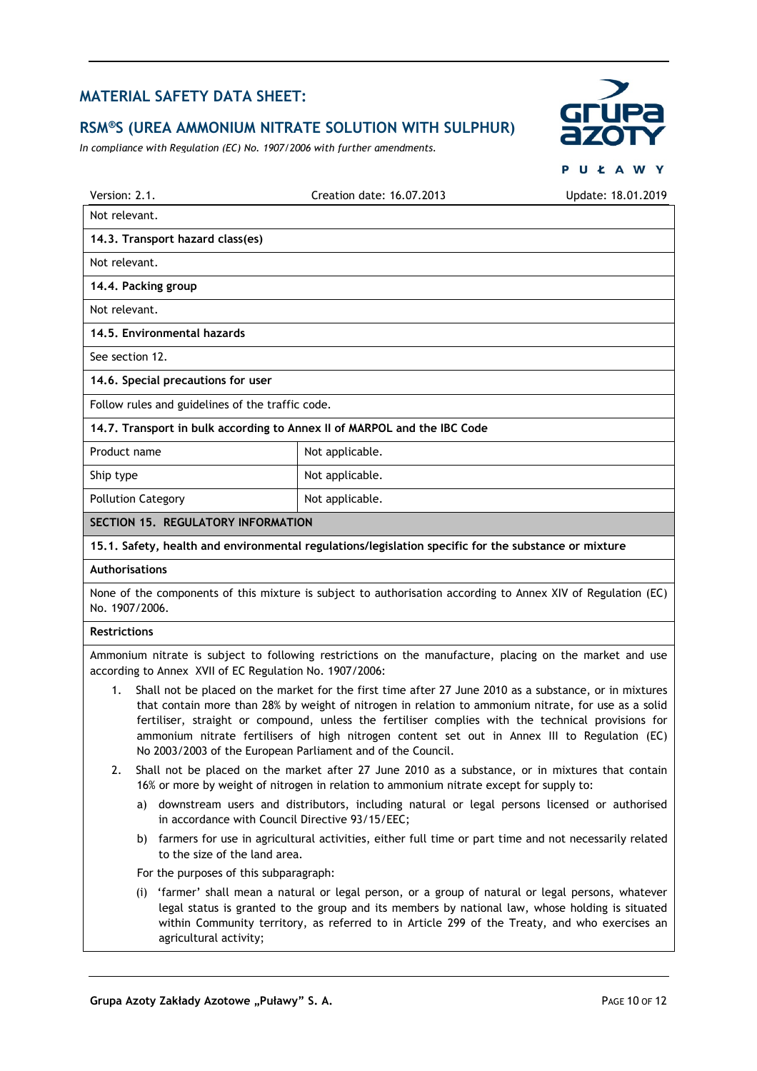#### **RSM®S (UREA AMMONIUM NITRATE SOLUTION WITH SULPHUR)**

*In compliance with Regulation (EC) No. 1907/2006 with further amendments.*



**PUŁAWY** 

| Version: 2.1.                                                            | Creation date: 16.07.2013                                                                                    | Update: 18.01.2019 |  |  |
|--------------------------------------------------------------------------|--------------------------------------------------------------------------------------------------------------|--------------------|--|--|
| Not relevant.                                                            |                                                                                                              |                    |  |  |
| 14.3. Transport hazard class(es)                                         |                                                                                                              |                    |  |  |
| Not relevant.                                                            |                                                                                                              |                    |  |  |
| 14.4. Packing group                                                      |                                                                                                              |                    |  |  |
| Not relevant.                                                            |                                                                                                              |                    |  |  |
| 14.5. Environmental hazards                                              |                                                                                                              |                    |  |  |
| See section 12.                                                          |                                                                                                              |                    |  |  |
| 14.6. Special precautions for user                                       |                                                                                                              |                    |  |  |
| Follow rules and guidelines of the traffic code.                         |                                                                                                              |                    |  |  |
| 14.7. Transport in bulk according to Annex II of MARPOL and the IBC Code |                                                                                                              |                    |  |  |
| Product name                                                             | Not applicable.                                                                                              |                    |  |  |
| Ship type                                                                | Not applicable.                                                                                              |                    |  |  |
| <b>Pollution Category</b>                                                | Not applicable.                                                                                              |                    |  |  |
| SECTION 15. REGULATORY INFORMATION                                       |                                                                                                              |                    |  |  |
|                                                                          | 15.1. Safety, health and environmental regulations/legislation specific for the substance or mixture         |                    |  |  |
| <b>Authorisations</b>                                                    |                                                                                                              |                    |  |  |
| No. 1907/2006.                                                           | None of the components of this mixture is subject to authorisation according to Annex XIV of Regulation (EC) |                    |  |  |
| <b>Restrictions</b>                                                      |                                                                                                              |                    |  |  |
|                                                                          | Ammonium nitrate is subject to following restrictions on the manufacture, placing on the market and use      |                    |  |  |

according to Annex XVII of EC Regulation No. 1907/2006:

- 1. Shall not be placed on the market for the first time after 27 June 2010 as a substance, or in mixtures that contain more than 28% by weight of nitrogen in relation to ammonium nitrate, for use as a solid fertiliser, straight or compound, unless the fertiliser complies with the technical provisions for ammonium nitrate fertilisers of high nitrogen content set out in Annex III to Regulation (EC) No 2003/2003 of the European Parliament and of the Council.
- 2. Shall not be placed on the market after 27 June 2010 as a substance, or in mixtures that contain 16% or more by weight of nitrogen in relation to ammonium nitrate except for supply to:
	- a) downstream users and distributors, including natural or legal persons licensed or authorised in accordance with Council Directive 93/15/EEC;
	- b) farmers for use in agricultural activities, either full time or part time and not necessarily related to the size of the land area.
	- For the purposes of this subparagraph:
	- (i) 'farmer' shall mean a natural or legal person, or a group of natural or legal persons, whatever legal status is granted to the group and its members by national law, whose holding is situated within Community territory, as referred to in Article 299 of the Treaty, and who exercises an agricultural activity;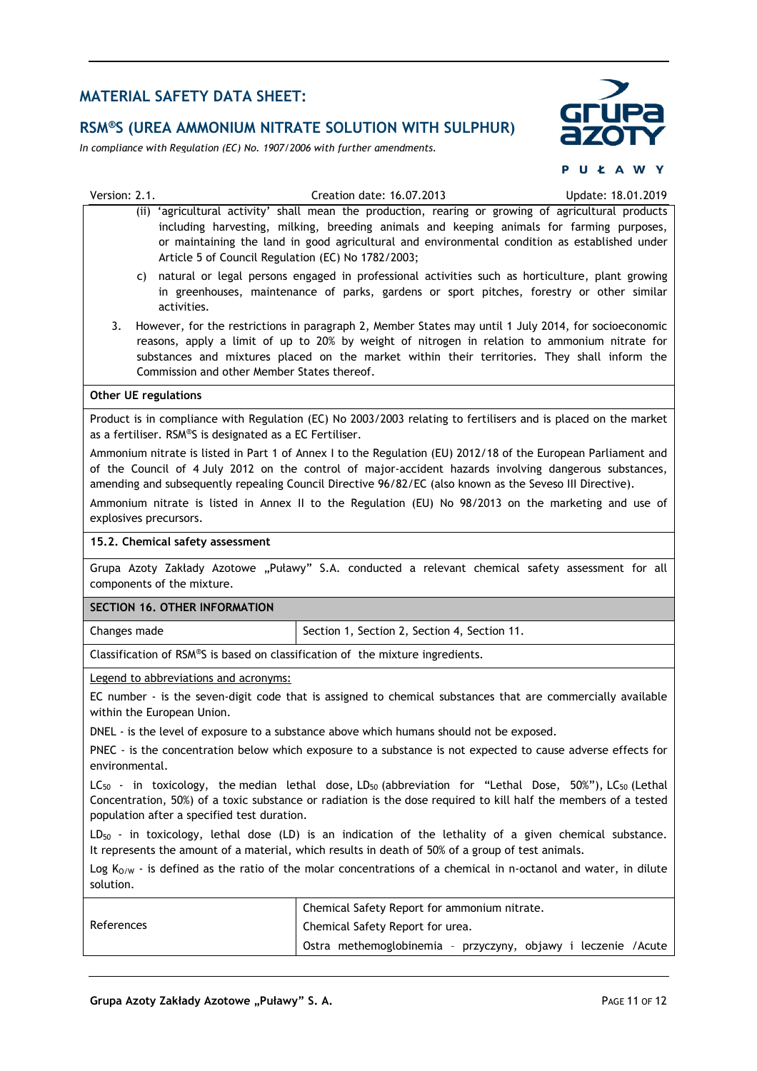## **RSM®S (UREA AMMONIUM NITRATE SOLUTION WITH SULPHUR)**

*In compliance with Regulation (EC) No. 1907/2006 with further amendments.*



PUŁAWY

| Version: 2.1.                                                                                                                  | Creation date: 16.07.2013                                                                                                                                                                                                                                                                                                           | Update: 18.01.2019 |  |
|--------------------------------------------------------------------------------------------------------------------------------|-------------------------------------------------------------------------------------------------------------------------------------------------------------------------------------------------------------------------------------------------------------------------------------------------------------------------------------|--------------------|--|
| Article 5 of Council Regulation (EC) No 1782/2003;                                                                             | (ii) 'agricultural activity' shall mean the production, rearing or growing of agricultural products<br>including harvesting, milking, breeding animals and keeping animals for farming purposes,<br>or maintaining the land in good agricultural and environmental condition as established under                                   |                    |  |
| C)<br>activities.                                                                                                              | natural or legal persons engaged in professional activities such as horticulture, plant growing<br>in greenhouses, maintenance of parks, gardens or sport pitches, forestry or other similar                                                                                                                                        |                    |  |
| 3.<br>Commission and other Member States thereof.                                                                              | However, for the restrictions in paragraph 2, Member States may until 1 July 2014, for socioeconomic<br>reasons, apply a limit of up to 20% by weight of nitrogen in relation to ammonium nitrate for<br>substances and mixtures placed on the market within their territories. They shall inform the                               |                    |  |
| <b>Other UE regulations</b>                                                                                                    |                                                                                                                                                                                                                                                                                                                                     |                    |  |
| as a fertiliser. RSM®S is designated as a EC Fertiliser.                                                                       | Product is in compliance with Regulation (EC) No 2003/2003 relating to fertilisers and is placed on the market                                                                                                                                                                                                                      |                    |  |
|                                                                                                                                | Ammonium nitrate is listed in Part 1 of Annex I to the Regulation (EU) 2012/18 of the European Parliament and<br>of the Council of 4 July 2012 on the control of major-accident hazards involving dangerous substances,<br>amending and subsequently repealing Council Directive 96/82/EC (also known as the Seveso III Directive). |                    |  |
| explosives precursors.                                                                                                         | Ammonium nitrate is listed in Annex II to the Regulation (EU) No 98/2013 on the marketing and use of                                                                                                                                                                                                                                |                    |  |
| 15.2. Chemical safety assessment                                                                                               |                                                                                                                                                                                                                                                                                                                                     |                    |  |
| components of the mixture.                                                                                                     | Grupa Azoty Zakłady Azotowe "Puławy" S.A. conducted a relevant chemical safety assessment for all                                                                                                                                                                                                                                   |                    |  |
| SECTION 16. OTHER INFORMATION                                                                                                  |                                                                                                                                                                                                                                                                                                                                     |                    |  |
| Changes made                                                                                                                   | Section 1, Section 2, Section 4, Section 11.                                                                                                                                                                                                                                                                                        |                    |  |
| Classification of RSM®S is based on classification of the mixture ingredients.                                                 |                                                                                                                                                                                                                                                                                                                                     |                    |  |
| Legend to abbreviations and acronyms:                                                                                          |                                                                                                                                                                                                                                                                                                                                     |                    |  |
| within the European Union.                                                                                                     | EC number - is the seven-digit code that is assigned to chemical substances that are commercially available                                                                                                                                                                                                                         |                    |  |
|                                                                                                                                | DNEL - is the level of exposure to a substance above which humans should not be exposed.                                                                                                                                                                                                                                            |                    |  |
| PNEC - is the concentration below which exposure to a substance is not expected to cause adverse effects for<br>environmental. |                                                                                                                                                                                                                                                                                                                                     |                    |  |
|                                                                                                                                |                                                                                                                                                                                                                                                                                                                                     |                    |  |
| population after a specified test duration.                                                                                    | $LC_{50}$ - in toxicology, the median lethal dose, LD <sub>50</sub> (abbreviation for "Lethal Dose, 50%"), LC <sub>50</sub> (Lethal<br>Concentration, 50%) of a toxic substance or radiation is the dose required to kill half the members of a tested                                                                              |                    |  |
|                                                                                                                                | $LD_{50}$ - in toxicology, lethal dose (LD) is an indication of the lethality of a given chemical substance.<br>It represents the amount of a material, which results in death of 50% of a group of test animals.                                                                                                                   |                    |  |
| solution.                                                                                                                      | Log $K_{O/W}$ - is defined as the ratio of the molar concentrations of a chemical in n-octanol and water, in dilute                                                                                                                                                                                                                 |                    |  |
|                                                                                                                                | Chemical Safety Report for ammonium nitrate.                                                                                                                                                                                                                                                                                        |                    |  |
| References                                                                                                                     | Chemical Safety Report for urea.                                                                                                                                                                                                                                                                                                    |                    |  |
|                                                                                                                                | Ostra methemoglobinemia - przyczyny, objawy i leczenie /Acute                                                                                                                                                                                                                                                                       |                    |  |